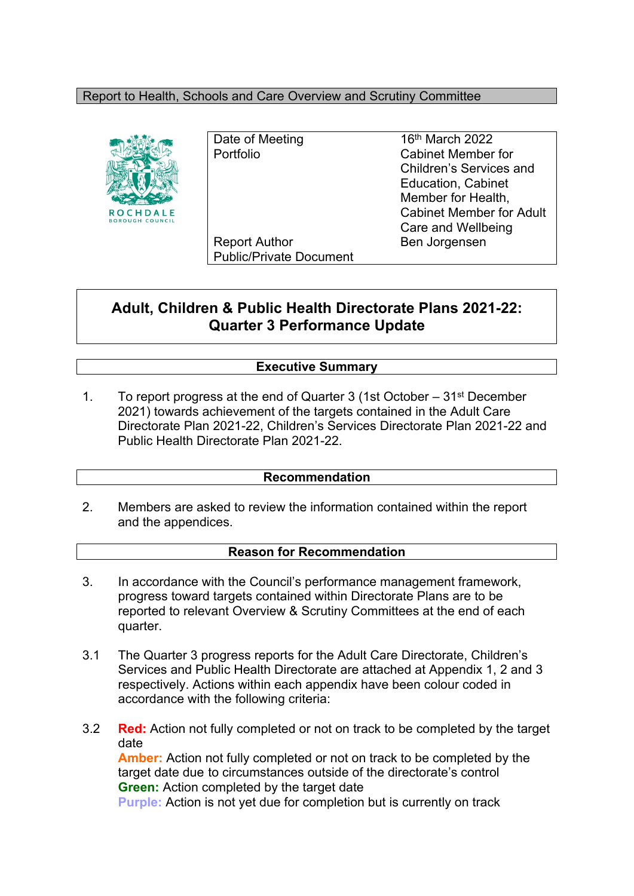#### Report to Health, Schools and Care Overview and Scrutiny Committee



Report Author Ben Jorgensen Public/Private Document

Date of Meeting 16<sup>th</sup> March 2022 Portfolio Cabinet Member for Children's Services and Education, Cabinet Member for Health, Cabinet Member for Adult Care and Wellbeing

# **Adult, Children & Public Health Directorate Plans 2021-22: Quarter 3 Performance Update**

### **Executive Summary**

1. To report progress at the end of Quarter 3 (1st October – 31st December 2021) towards achievement of the targets contained in the Adult Care Directorate Plan 2021-22, Children's Services Directorate Plan 2021-22 and Public Health Directorate Plan 2021-22.

#### **Recommendation**

2. Members are asked to review the information contained within the report and the appendices.

#### **Reason for Recommendation**

- 3. In accordance with the Council's performance management framework, progress toward targets contained within Directorate Plans are to be reported to relevant Overview & Scrutiny Committees at the end of each quarter.
- 3.1 The Quarter 3 progress reports for the Adult Care Directorate, Children's Services and Public Health Directorate are attached at Appendix 1, 2 and 3 respectively. Actions within each appendix have been colour coded in accordance with the following criteria:
- 3.2 **Red:** Action not fully completed or not on track to be completed by the target date **Amber:** Action not fully completed or not on track to be completed by the target date due to circumstances outside of the directorate's control **Green:** Action completed by the target date

**Purple:** Action is not yet due for completion but is currently on track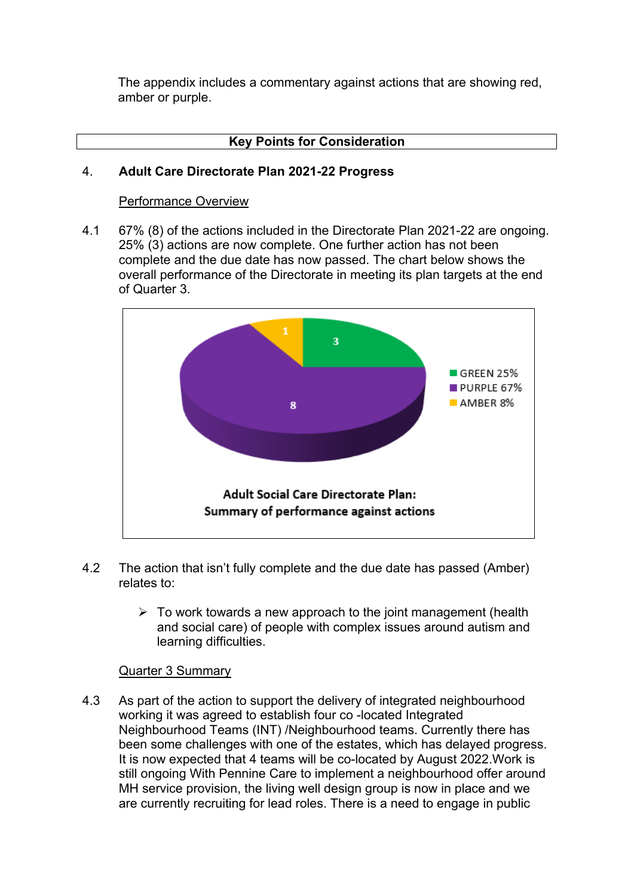The appendix includes a commentary against actions that are showing red, amber or purple.

### **Key Points for Consideration**

#### 4. **Adult Care Directorate Plan 2021-22 Progress**

#### Performance Overview

4.1 67% (8) of the actions included in the Directorate Plan 2021-22 are ongoing. 25% (3) actions are now complete. One further action has not been complete and the due date has now passed. The chart below shows the overall performance of the Directorate in meeting its plan targets at the end of Quarter 3.



- 4.2 The action that isn't fully complete and the due date has passed (Amber) relates to:
	- $\triangleright$  To work towards a new approach to the joint management (health and social care) of people with complex issues around autism and learning difficulties.

#### Quarter 3 Summary

4.3 As part of the action to support the delivery of integrated neighbourhood working it was agreed to establish four co -located Integrated Neighbourhood Teams (INT) /Neighbourhood teams. Currently there has been some challenges with one of the estates, which has delayed progress. It is now expected that 4 teams will be co-located by August 2022.Work is still ongoing With Pennine Care to implement a neighbourhood offer around MH service provision, the living well design group is now in place and we are currently recruiting for lead roles. There is a need to engage in public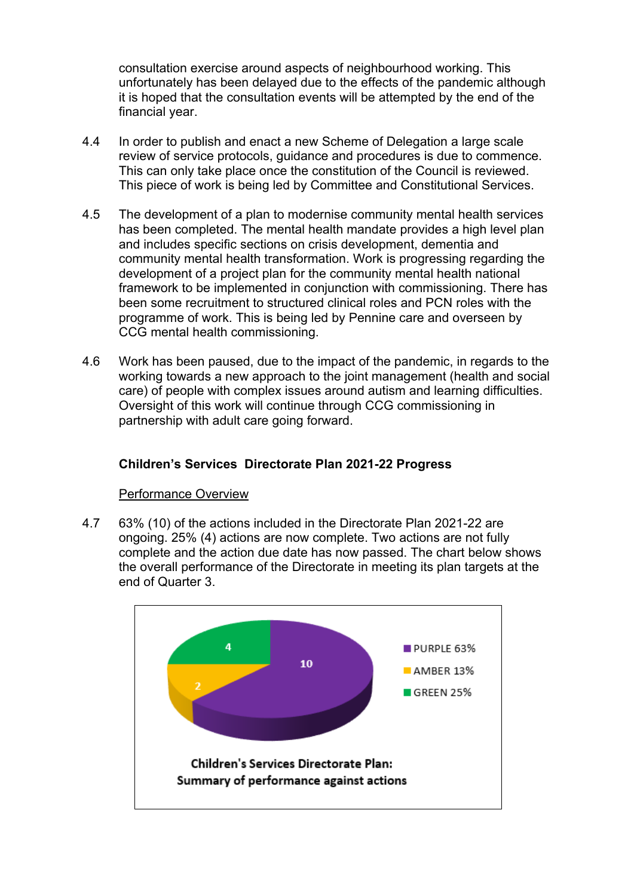consultation exercise around aspects of neighbourhood working. This unfortunately has been delayed due to the effects of the pandemic although it is hoped that the consultation events will be attempted by the end of the financial year.

- 4.4 In order to publish and enact a new Scheme of Delegation a large scale review of service protocols, guidance and procedures is due to commence. This can only take place once the constitution of the Council is reviewed. This piece of work is being led by Committee and Constitutional Services.
- 4.5 The development of a plan to modernise community mental health services has been completed. The mental health mandate provides a high level plan and includes specific sections on crisis development, dementia and community mental health transformation. Work is progressing regarding the development of a project plan for the community mental health national framework to be implemented in conjunction with commissioning. There has been some recruitment to structured clinical roles and PCN roles with the programme of work. This is being led by Pennine care and overseen by CCG mental health commissioning.
- 4.6 Work has been paused, due to the impact of the pandemic, in regards to the working towards a new approach to the joint management (health and social care) of people with complex issues around autism and learning difficulties. Oversight of this work will continue through CCG commissioning in partnership with adult care going forward.

# **Children's Services Directorate Plan 2021-22 Progress**

#### Performance Overview

4.7 63% (10) of the actions included in the Directorate Plan 2021-22 are ongoing. 25% (4) actions are now complete. Two actions are not fully complete and the action due date has now passed. The chart below shows the overall performance of the Directorate in meeting its plan targets at the end of Quarter 3.

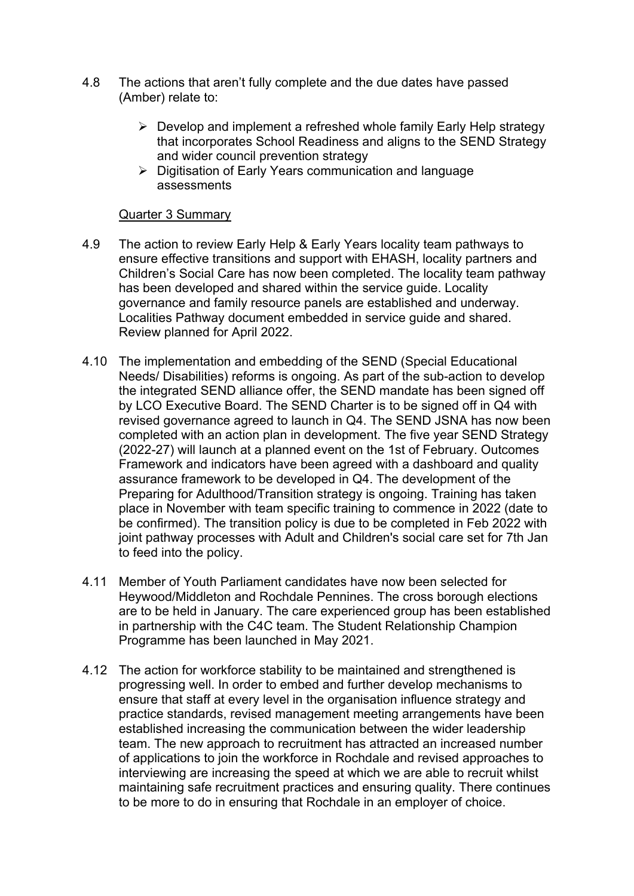- 4.8 The actions that aren't fully complete and the due dates have passed (Amber) relate to:
	- $\triangleright$  Develop and implement a refreshed whole family Early Help strategy that incorporates School Readiness and aligns to the SEND Strategy and wider council prevention strategy
	- Digitisation of Early Years communication and language assessments

#### Quarter 3 Summary

- 4.9 The action to review Early Help & Early Years locality team pathways to ensure effective transitions and support with EHASH, locality partners and Children's Social Care has now been completed. The locality team pathway has been developed and shared within the service guide. Locality governance and family resource panels are established and underway. Localities Pathway document embedded in service guide and shared. Review planned for April 2022.
- 4.10 The implementation and embedding of the SEND (Special Educational Needs/ Disabilities) reforms is ongoing. As part of the sub-action to develop the integrated SEND alliance offer, the SEND mandate has been signed off by LCO Executive Board. The SEND Charter is to be signed off in Q4 with revised governance agreed to launch in Q4. The SEND JSNA has now been completed with an action plan in development. The five year SEND Strategy (2022-27) will launch at a planned event on the 1st of February. Outcomes Framework and indicators have been agreed with a dashboard and quality assurance framework to be developed in Q4. The development of the Preparing for Adulthood/Transition strategy is ongoing. Training has taken place in November with team specific training to commence in 2022 (date to be confirmed). The transition policy is due to be completed in Feb 2022 with joint pathway processes with Adult and Children's social care set for 7th Jan to feed into the policy.
- 4.11 Member of Youth Parliament candidates have now been selected for Heywood/Middleton and Rochdale Pennines. The cross borough elections are to be held in January. The care experienced group has been established in partnership with the C4C team. The Student Relationship Champion Programme has been launched in May 2021.
- 4.12 The action for workforce stability to be maintained and strengthened is progressing well. In order to embed and further develop mechanisms to ensure that staff at every level in the organisation influence strategy and practice standards, revised management meeting arrangements have been established increasing the communication between the wider leadership team. The new approach to recruitment has attracted an increased number of applications to join the workforce in Rochdale and revised approaches to interviewing are increasing the speed at which we are able to recruit whilst maintaining safe recruitment practices and ensuring quality. There continues to be more to do in ensuring that Rochdale in an employer of choice.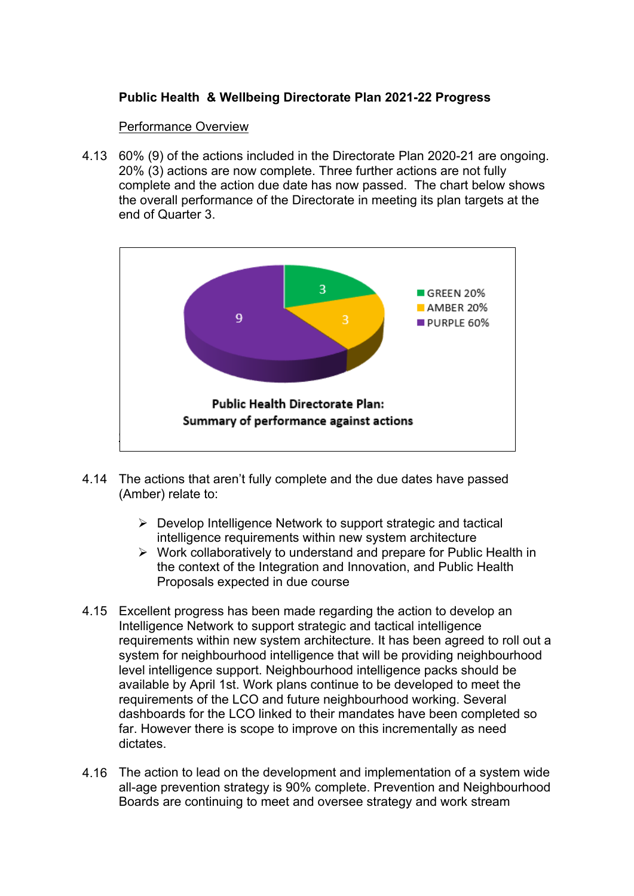# **Public Health & Wellbeing Directorate Plan 2021-22 Progress**

#### Performance Overview

4.13 60% (9) of the actions included in the Directorate Plan 2020-21 are ongoing. 20% (3) actions are now complete. Three further actions are not fully complete and the action due date has now passed. The chart below shows the overall performance of the Directorate in meeting its plan targets at the end of Quarter 3.



- 4.14 The actions that aren't fully complete and the due dates have passed (Amber) relate to:
	- $\triangleright$  Develop Intelligence Network to support strategic and tactical intelligence requirements within new system architecture
	- $\triangleright$  Work collaboratively to understand and prepare for Public Health in the context of the Integration and Innovation, and Public Health Proposals expected in due course
- 4.15 Excellent progress has been made regarding the action to develop an Intelligence Network to support strategic and tactical intelligence requirements within new system architecture. It has been agreed to roll out a system for neighbourhood intelligence that will be providing neighbourhood level intelligence support. Neighbourhood intelligence packs should be available by April 1st. Work plans continue to be developed to meet the requirements of the LCO and future neighbourhood working. Several dashboards for the LCO linked to their mandates have been completed so far. However there is scope to improve on this incrementally as need dictates.
- 4.16 The action to lead on the development and implementation of a system wide all-age prevention strategy is 90% complete. Prevention and Neighbourhood Boards are continuing to meet and oversee strategy and work stream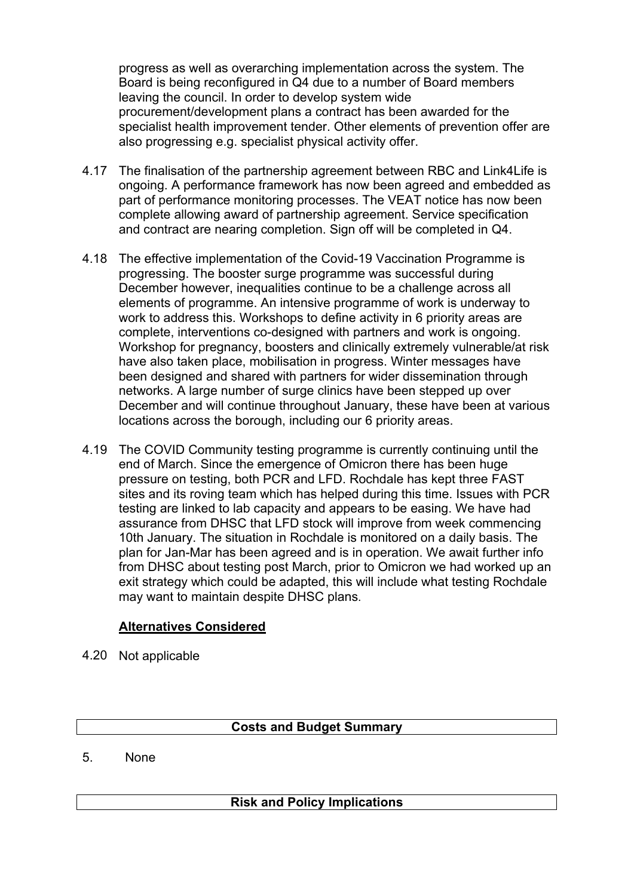progress as well as overarching implementation across the system. The Board is being reconfigured in Q4 due to a number of Board members leaving the council. In order to develop system wide procurement/development plans a contract has been awarded for the specialist health improvement tender. Other elements of prevention offer are also progressing e.g. specialist physical activity offer.

- 4.17 The finalisation of the partnership agreement between RBC and Link4Life is ongoing. A performance framework has now been agreed and embedded as part of performance monitoring processes. The VEAT notice has now been complete allowing award of partnership agreement. Service specification and contract are nearing completion. Sign off will be completed in Q4.
- 4.18 The effective implementation of the Covid-19 Vaccination Programme is progressing. The booster surge programme was successful during December however, inequalities continue to be a challenge across all elements of programme. An intensive programme of work is underway to work to address this. Workshops to define activity in 6 priority areas are complete, interventions co-designed with partners and work is ongoing. Workshop for pregnancy, boosters and clinically extremely vulnerable/at risk have also taken place, mobilisation in progress. Winter messages have been designed and shared with partners for wider dissemination through networks. A large number of surge clinics have been stepped up over December and will continue throughout January, these have been at various locations across the borough, including our 6 priority areas.
- 4.19 The COVID Community testing programme is currently continuing until the end of March. Since the emergence of Omicron there has been huge pressure on testing, both PCR and LFD. Rochdale has kept three FAST sites and its roving team which has helped during this time. Issues with PCR testing are linked to lab capacity and appears to be easing. We have had assurance from DHSC that LFD stock will improve from week commencing 10th January. The situation in Rochdale is monitored on a daily basis. The plan for Jan-Mar has been agreed and is in operation. We await further info from DHSC about testing post March, prior to Omicron we had worked up an exit strategy which could be adapted, this will include what testing Rochdale may want to maintain despite DHSC plans.

# **Alternatives Considered**

4.20 Not applicable

# **Costs and Budget Summary**

5. None

# **Risk and Policy Implications**